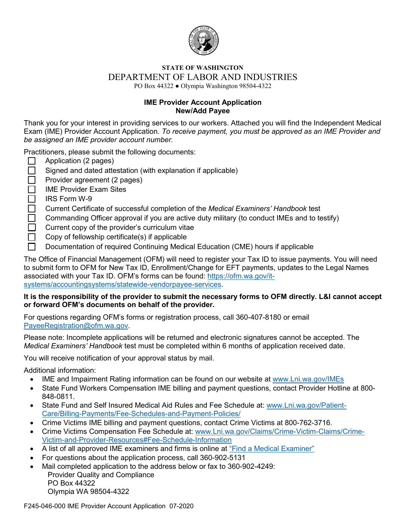

#### **STATE OF WASHINGTON** DEPARTMENT OF LABOR AND INDUSTRIES PO Box 44322 ● Olympia Washington 98504-4322

**IME Provider Account Application New/Add Payee**

Thank you for your interest in providing services to our workers. Attached you will find the Independent Medical Exam (IME) Provider Account Application. *To receive payment, you must be approved as an IME Provider and be assigned an IME provider account number.*

Practitioners, please submit the following documents:

- $\Box$ Application (2 pages)
- Signed and dated attestation (with explanation if applicable)  $\Box$
- $\Box$ Provider agreement (2 pages)
- $\Box$ IME Provider Exam Sites
- П IRS Form W-9
- $\Box$ Current Certificate of successful completion of the *Medical Examiners' Handbook* test
- Commanding Officer approval if you are active duty military (to conduct IMEs and to testify)  $\Box$
- Current copy of the provider's curriculum vitae
- $\Box$ Copy of fellowship certificate(s) if applicable
- Documentation of required Continuing Medical Education (CME) hours if applicable

The Office of Financial Management (OFM) will need to register your Tax ID to issue payments. You will need to submit form to OFM for New Tax ID, Enrollment/Change for EFT payments, updates to the Legal Names associated with your Tax ID. OFM's forms can be found: [https://ofm.wa.gov/it](https://ofm.wa.gov/it-systems/accountingsystems/statewide-vendorpayee-services)[systems/accountingsystems/statewide-vendorpayee-services.](https://ofm.wa.gov/it-systems/accountingsystems/statewide-vendorpayee-services)

### **It is the responsibility of the provider to submit the necessary forms to OFM directly. L&I cannot accept or forward OFM's documents on behalf of the provider.**

For questions regarding OFM's forms or registration process, call 360-407-8180 or email [PayeeRegistration@ofm.wa.gov.](mailto:PayeeRegistration@ofm.wa.gov)

Please note: Incomplete applications will be returned and electronic signatures cannot be accepted. The *Medical Examiners' Handbook* test must be completed within 6 months of application received date.

You will receive notification of your approval status by mail.

Additional information:

- IME and Impairment Rating information can be found on our website at [www.Lni.wa.gov/IMEs](http://www.lni.wa.gov/ClaimsIns/Providers/TreatingPatients/IME/)
- State Fund Workers Compensation IME billing and payment questions, contact Provider Hotline at 800- 848-0811.
- State Fund and Self Insured Medical Aid Rules and Fee Schedule at: [www.Lni.wa.gov/Patient-](http://www.lni.wa.gov/Patient-Care/Billing-Payments/Fee-Schedules-and-Payment-Policies/)[Care/Billing-Payments/Fee-Schedules-and-Payment-Policies/](http://www.lni.wa.gov/Patient-Care/Billing-Payments/Fee-Schedules-and-Payment-Policies/)
- Crime Victims IME billing and payment questions, contact Crime Victims at 800-762-3716.
- Crime Victims Compensation Fee Schedule at: [www.Lni.wa.gov/Claims/Crime-Victim-Claims/Crime-](http://www.lni.wa.gov/Claims/Crime-Victim-Claims/Crime-Victim-and-Provider-Resources#Fee-Schedule-Information)[Victim-and-Provider-Resources#Fee-Schedule-Information](http://www.lni.wa.gov/Claims/Crime-Victim-Claims/Crime-Victim-and-Provider-Resources#Fee-Schedule-Information)
- A list of all approved IME examiners and firms is online at ["Find a Medical Examiner"](https://fortress.wa.gov/lni/imets/)
- For questions about the application process, call 360-902-5131
- Mail completed application to the address below or fax to 360-902-4249: Provider Quality and Compliance PO Box 44322 Olympia WA 98504-4322

F245-046-000 IME Provider Account Application 07-2020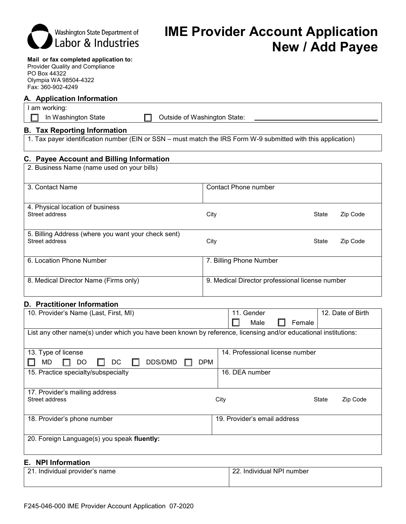| Labor & Industries                                                                                                                            | <b>New / Add Payee</b>                                                                                          |
|-----------------------------------------------------------------------------------------------------------------------------------------------|-----------------------------------------------------------------------------------------------------------------|
| Mail or fax completed application to:<br><b>Provider Quality and Compliance</b><br>PO Box 44322<br>Olympia WA 98504-4322<br>Fax: 360-902-4249 |                                                                                                                 |
| A. Application Information                                                                                                                    |                                                                                                                 |
| I am working:<br>In Washington State                                                                                                          | Outside of Washington State:                                                                                    |
| <b>B.</b> Tax Reporting Information                                                                                                           |                                                                                                                 |
|                                                                                                                                               | 1. Tax payer identification number (EIN or SSN – must match the IRS Form W-9 submitted with this application)   |
| C. Payee Account and Billing Information                                                                                                      |                                                                                                                 |
| 2. Business Name (name used on your bills)                                                                                                    |                                                                                                                 |
| 3. Contact Name                                                                                                                               | <b>Contact Phone number</b>                                                                                     |
| 4. Physical location of business                                                                                                              |                                                                                                                 |
| Street address                                                                                                                                | City<br>State<br>Zip Code                                                                                       |
| 5. Billing Address (where you want your check sent)<br>Street address                                                                         | Zip Code<br>City<br>State                                                                                       |
| 6. Location Phone Number                                                                                                                      | 7. Billing Phone Number                                                                                         |
| 8. Medical Director Name (Firms only)                                                                                                         | 9. Medical Director professional license number                                                                 |
| D. Practitioner Information                                                                                                                   |                                                                                                                 |
| 10. Provider's Name (Last, First, MI)                                                                                                         | 12. Date of Birth<br>11. Gender<br>Male<br>Female                                                               |
|                                                                                                                                               | List any other name(s) under which you have been known by reference, licensing and/or educational institutions: |
| 13. Type of license                                                                                                                           | 14. Professional license number                                                                                 |
| <b>MD</b><br>DDS/DMD<br>DO<br>DC                                                                                                              | <b>DPM</b>                                                                                                      |

| 15. Practice specialty/subspecialty              | 16. DEA number               |       |          |
|--------------------------------------------------|------------------------------|-------|----------|
| 17. Provider's mailing address<br>Street address | City                         | State | Zip Code |
| 18. Provider's phone number                      | 19. Provider's email address |       |          |
| 20. Foreign Language(s) you speak fluently:      |                              |       |          |

#### **E. NPI Information**

| - 21                         | 22              |
|------------------------------|-----------------|
| . Individual provider's name | Individual NPL* |
|                              | number          |
|                              |                 |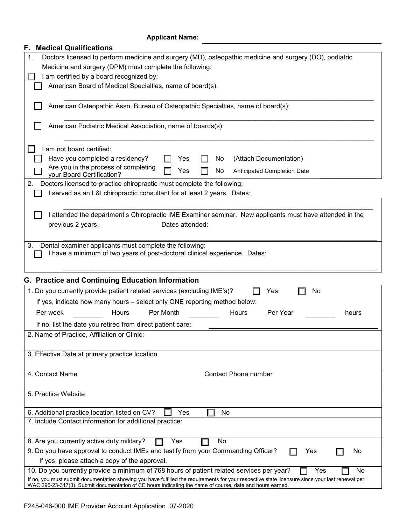### **Applicant Name:**

| <b>Medical Qualifications</b><br>F.                                                                                                                                                                                                                           |
|---------------------------------------------------------------------------------------------------------------------------------------------------------------------------------------------------------------------------------------------------------------|
| Doctors licensed to perform medicine and surgery (MD), osteopathic medicine and surgery (DO), podiatric<br>1.                                                                                                                                                 |
| Medicine and surgery (DPM) must complete the following:                                                                                                                                                                                                       |
| I am certified by a board recognized by:                                                                                                                                                                                                                      |
| American Board of Medical Specialties, name of board(s):                                                                                                                                                                                                      |
|                                                                                                                                                                                                                                                               |
| American Osteopathic Assn. Bureau of Osteopathic Specialties, name of board(s):                                                                                                                                                                               |
| American Podiatric Medical Association, name of boards(s):                                                                                                                                                                                                    |
| I am not board certified:                                                                                                                                                                                                                                     |
| Have you completed a residency?<br>(Attach Documentation)<br>Yes<br>No                                                                                                                                                                                        |
| Are you in the process of completing<br>No<br>Anticipated Completion Date<br>Yes                                                                                                                                                                              |
| your Board Certification?                                                                                                                                                                                                                                     |
| Doctors licensed to practice chiropractic must complete the following:<br>2.                                                                                                                                                                                  |
| I served as an L&I chiropractic consultant for at least 2 years. Dates:                                                                                                                                                                                       |
|                                                                                                                                                                                                                                                               |
| I attended the department's Chiropractic IME Examiner seminar. New applicants must have attended in the                                                                                                                                                       |
| Dates attended:<br>previous 2 years.                                                                                                                                                                                                                          |
|                                                                                                                                                                                                                                                               |
| Dental examiner applicants must complete the following:<br>3.                                                                                                                                                                                                 |
| I have a minimum of two years of post-doctoral clinical experience. Dates:                                                                                                                                                                                    |
|                                                                                                                                                                                                                                                               |
|                                                                                                                                                                                                                                                               |
| G. Practice and Continuing Education Information                                                                                                                                                                                                              |
| 1. Do you currently provide patient related services (excluding IME's)?<br>Yes<br>No                                                                                                                                                                          |
| If yes, indicate how many hours - select only ONE reporting method below:                                                                                                                                                                                     |
| Per week<br>Hours<br>Per Month<br>Per Year<br><b>Hours</b><br>hours                                                                                                                                                                                           |
| If no, list the date you retired from direct patient care:                                                                                                                                                                                                    |
| 2. Name of Practice, Affiliation or Clinic:                                                                                                                                                                                                                   |
|                                                                                                                                                                                                                                                               |
| 3. Effective Date at primary practice location                                                                                                                                                                                                                |
|                                                                                                                                                                                                                                                               |
|                                                                                                                                                                                                                                                               |
| 4. Contact Name<br><b>Contact Phone number</b>                                                                                                                                                                                                                |
|                                                                                                                                                                                                                                                               |
| 5. Practice Website                                                                                                                                                                                                                                           |
|                                                                                                                                                                                                                                                               |
| Yes<br>6. Additional practice location listed on CV?<br>No                                                                                                                                                                                                    |
| 7. Include Contact information for additional practice:                                                                                                                                                                                                       |
| 8. Are you currently active duty military?<br>Yes<br>No                                                                                                                                                                                                       |
| 9. Do you have approval to conduct IMEs and testify from your Commanding Officer?<br>No<br>Yes                                                                                                                                                                |
| If yes, please attach a copy of the approval.                                                                                                                                                                                                                 |
| 10. Do you currently provide a minimum of 768 hours of patient related services per year?<br>Yes<br>No                                                                                                                                                        |
| If no, you must submit documentation showing you have fulfilled the requirements for your respective state licensure since your last renewal per<br>WAC 296-23-317(3). Submit documentation of CE hours indicating the name of course, date and hours earned. |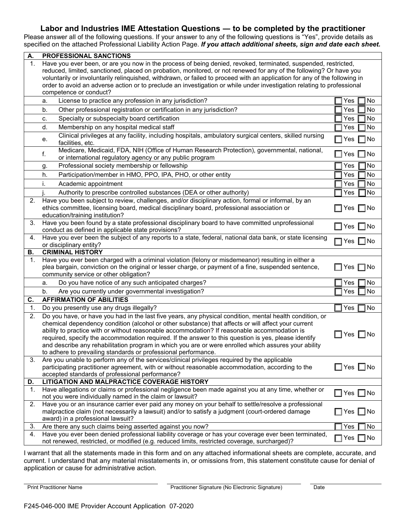### **Labor and Industries IME Attestation Questions ― to be completed by the practitioner**

Please answer all of the following questions. If your answer to any of the following questions is "Yes", provide details as specified on the attached Professional Liability Action Page. *If you attach additional sheets, sign and date each sheet.*

| А. | PROFESSIONAL SANCTIONS                                                                                                                                                                                                                                                                                                                                                                                                                                                                                                                                                                            |                      |  |
|----|---------------------------------------------------------------------------------------------------------------------------------------------------------------------------------------------------------------------------------------------------------------------------------------------------------------------------------------------------------------------------------------------------------------------------------------------------------------------------------------------------------------------------------------------------------------------------------------------------|----------------------|--|
| 1. | Have you ever been, or are you now in the process of being denied, revoked, terminated, suspended, restricted,<br>reduced, limited, sanctioned, placed on probation, monitored, or not renewed for any of the following? Or have you<br>voluntarily or involuntarily relinquished, withdrawn, or failed to proceed with an application for any of the following in<br>order to avoid an adverse action or to preclude an investigation or while under investigation relating to professional<br>competence or conduct?                                                                            |                      |  |
|    | License to practice any profession in any jurisdiction?<br>a.                                                                                                                                                                                                                                                                                                                                                                                                                                                                                                                                     | No<br>Yes            |  |
|    | Other professional registration or certification in any jurisdiction?<br>b.                                                                                                                                                                                                                                                                                                                                                                                                                                                                                                                       | Yes<br>No            |  |
|    | Specialty or subspecialty board certification<br>c.                                                                                                                                                                                                                                                                                                                                                                                                                                                                                                                                               | No<br>Yes            |  |
|    | Membership on any hospital medical staff<br>d.                                                                                                                                                                                                                                                                                                                                                                                                                                                                                                                                                    | No<br>Yes            |  |
|    | Clinical privileges at any facility, including hospitals, ambulatory surgical centers, skilled nursing<br>е.<br>facilities, etc.                                                                                                                                                                                                                                                                                                                                                                                                                                                                  | $\sqcap$ No<br>Yes   |  |
|    | Medicare, Medicaid, FDA, NIH (Office of Human Research Protection), governmental, national,<br>f.<br>or international regulatory agency or any public program                                                                                                                                                                                                                                                                                                                                                                                                                                     | No<br>Yes<br>$\Box$  |  |
|    | Professional society membership or fellowship<br>g.                                                                                                                                                                                                                                                                                                                                                                                                                                                                                                                                               | No<br>Yes            |  |
|    | Participation/member in HMO, PPO, IPA, PHO, or other entity<br>h.                                                                                                                                                                                                                                                                                                                                                                                                                                                                                                                                 | No<br>Yes            |  |
|    | i.<br>Academic appointment                                                                                                                                                                                                                                                                                                                                                                                                                                                                                                                                                                        | No<br>Yes            |  |
|    | Authority to prescribe controlled substances (DEA or other authority)                                                                                                                                                                                                                                                                                                                                                                                                                                                                                                                             | No<br>Yes            |  |
|    | 2. Have you been subject to review, challenges, and/or disciplinary action, formal or informal, by an<br>ethics committee, licensing board, medical disciplinary board, professional association or<br>education/training institution?                                                                                                                                                                                                                                                                                                                                                            | Yes $\Box$ No        |  |
| 3. | Have you been found by a state professional disciplinary board to have committed unprofessional<br>conduct as defined in applicable state provisions?                                                                                                                                                                                                                                                                                                                                                                                                                                             | $\Box$ Yes $\Box$ No |  |
| 4. | Have you ever been the subject of any reports to a state, federal, national data bank, or state licensing<br>or disciplinary entity?                                                                                                                                                                                                                                                                                                                                                                                                                                                              | Yes □No              |  |
| В. | <b>CRIMINAL HISTORY</b>                                                                                                                                                                                                                                                                                                                                                                                                                                                                                                                                                                           |                      |  |
| 1. | Have you ever been charged with a criminal violation (felony or misdemeanor) resulting in either a<br>plea bargain, conviction on the original or lesser charge, or payment of a fine, suspended sentence,<br>community service or other obligation?                                                                                                                                                                                                                                                                                                                                              | ∃  No<br>∐ Yes       |  |
|    | Do you have notice of any such anticipated charges?<br>a.                                                                                                                                                                                                                                                                                                                                                                                                                                                                                                                                         | No<br>Yes            |  |
|    | Are you currently under governmental investigation?<br>b.                                                                                                                                                                                                                                                                                                                                                                                                                                                                                                                                         | No<br>Yes            |  |
| C. | <b>AFFIRMATION OF ABILITIES</b>                                                                                                                                                                                                                                                                                                                                                                                                                                                                                                                                                                   |                      |  |
| 1. | Do you presently use any drugs illegally?                                                                                                                                                                                                                                                                                                                                                                                                                                                                                                                                                         | No<br>Yes            |  |
| 2. | Do you have, or have you had in the last five years, any physical condition, mental health condition, or<br>chemical dependency condition (alcohol or other substance) that affects or will affect your current<br>ability to practice with or without reasonable accommodation? If reasonable accommodation is<br>required, specify the accommodation required. If the answer to this question is yes, please identify<br>and describe any rehabilitation program in which you are or were enrolled which assures your ability<br>to adhere to prevailing standards or professional performance. | $\Box$ Yes $\Box$ No |  |
| 3. | Are you unable to perform any of the services/clinical privileges required by the applicable<br>participating practitioner agreement, with or without reasonable accommodation, according to the<br>accepted standards of professional performance?                                                                                                                                                                                                                                                                                                                                               | Yes $\Box$ No        |  |
| D. | LITIGATION AND MALPRACTICE COVERAGE HISTORY                                                                                                                                                                                                                                                                                                                                                                                                                                                                                                                                                       |                      |  |
| 1. | Have allegations or claims or professional negligence been made against you at any time, whether or<br>not you were individually named in the claim or lawsuit?                                                                                                                                                                                                                                                                                                                                                                                                                                   | $\Box$ Yes $\Box$ No |  |
| 2. | Have you or an insurance carrier ever paid any money on your behalf to settle/resolve a professional<br>malpractice claim (not necessarily a lawsuit) and/or to satisfy a judgment (court-ordered damage<br>award) in a professional lawsuit?                                                                                                                                                                                                                                                                                                                                                     | Yes $\Box$ No        |  |
| 3. | Are there any such claims being asserted against you now?                                                                                                                                                                                                                                                                                                                                                                                                                                                                                                                                         | No<br>Yes            |  |
| 4. | Have you ever been denied professional liability coverage or has your coverage ever been terminated,<br>not renewed, restricted, or modified (e.g. reduced limits, restricted coverage, surcharged)?                                                                                                                                                                                                                                                                                                                                                                                              | $\square$ No<br>Yes  |  |

I warrant that all the statements made in this form and on any attached informational sheets are complete, accurate, and current. I understand that any material misstatements in, or omissions from, this statement constitute cause for denial of application or cause for administrative action.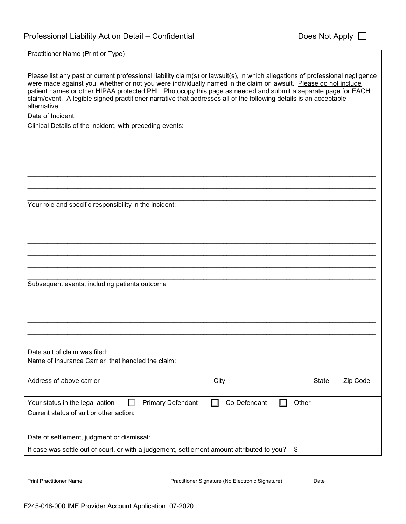Practitioner Name (Print or Type)

| Please list any past or current professional liability claim(s) or lawsuit(s), in which allegations of professional negligence<br>were made against you, whether or not you were individually named in the claim or lawsuit. Please do not include<br>patient names or other HIPAA protected PHI. Photocopy this page as needed and submit a separate page for EACH<br>claim/event. A legible signed practitioner narrative that addresses all of the following details is an acceptable<br>alternative. |
|----------------------------------------------------------------------------------------------------------------------------------------------------------------------------------------------------------------------------------------------------------------------------------------------------------------------------------------------------------------------------------------------------------------------------------------------------------------------------------------------------------|
| Date of Incident:                                                                                                                                                                                                                                                                                                                                                                                                                                                                                        |
| Clinical Details of the incident, with preceding events:                                                                                                                                                                                                                                                                                                                                                                                                                                                 |
|                                                                                                                                                                                                                                                                                                                                                                                                                                                                                                          |
|                                                                                                                                                                                                                                                                                                                                                                                                                                                                                                          |
|                                                                                                                                                                                                                                                                                                                                                                                                                                                                                                          |
|                                                                                                                                                                                                                                                                                                                                                                                                                                                                                                          |
|                                                                                                                                                                                                                                                                                                                                                                                                                                                                                                          |
|                                                                                                                                                                                                                                                                                                                                                                                                                                                                                                          |
| Your role and specific responsibility in the incident:                                                                                                                                                                                                                                                                                                                                                                                                                                                   |
|                                                                                                                                                                                                                                                                                                                                                                                                                                                                                                          |
|                                                                                                                                                                                                                                                                                                                                                                                                                                                                                                          |
|                                                                                                                                                                                                                                                                                                                                                                                                                                                                                                          |
|                                                                                                                                                                                                                                                                                                                                                                                                                                                                                                          |
|                                                                                                                                                                                                                                                                                                                                                                                                                                                                                                          |
|                                                                                                                                                                                                                                                                                                                                                                                                                                                                                                          |
|                                                                                                                                                                                                                                                                                                                                                                                                                                                                                                          |
| Subsequent events, including patients outcome                                                                                                                                                                                                                                                                                                                                                                                                                                                            |
|                                                                                                                                                                                                                                                                                                                                                                                                                                                                                                          |
|                                                                                                                                                                                                                                                                                                                                                                                                                                                                                                          |
|                                                                                                                                                                                                                                                                                                                                                                                                                                                                                                          |
|                                                                                                                                                                                                                                                                                                                                                                                                                                                                                                          |
|                                                                                                                                                                                                                                                                                                                                                                                                                                                                                                          |
|                                                                                                                                                                                                                                                                                                                                                                                                                                                                                                          |
| Date suit of claim was filed:<br>Name of Insurance Carrier that handled the claim:                                                                                                                                                                                                                                                                                                                                                                                                                       |
|                                                                                                                                                                                                                                                                                                                                                                                                                                                                                                          |
| Address of above carrier<br>City<br><b>State</b><br>Zip Code                                                                                                                                                                                                                                                                                                                                                                                                                                             |
|                                                                                                                                                                                                                                                                                                                                                                                                                                                                                                          |
| Your status in the legal action<br><b>Primary Defendant</b><br>Co-Defendant<br>Other                                                                                                                                                                                                                                                                                                                                                                                                                     |
| Current status of suit or other action:                                                                                                                                                                                                                                                                                                                                                                                                                                                                  |
|                                                                                                                                                                                                                                                                                                                                                                                                                                                                                                          |
|                                                                                                                                                                                                                                                                                                                                                                                                                                                                                                          |
| Date of settlement, judgment or dismissal:                                                                                                                                                                                                                                                                                                                                                                                                                                                               |
| If case was settle out of court, or with a judgement, settlement amount attributed to you?<br>\$                                                                                                                                                                                                                                                                                                                                                                                                         |

Print Practitioner Name **Practitioner Signature (No Electronic Signature)** Date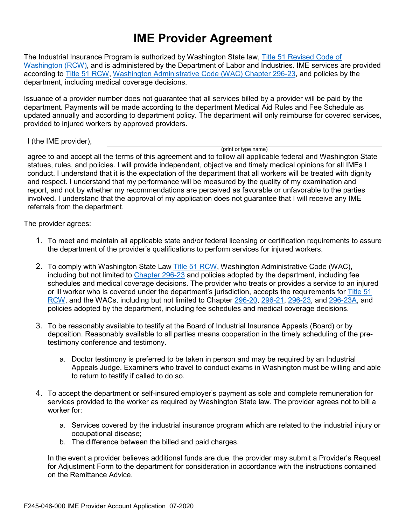# **IME Provider Agreement**

The Industrial Insurance Program is authorized by Washington State law, [Title 51 Revised Code of](http://app.leg.wa.gov/rcw/default.aspx?cite=51)  [Washington \(RCW\),](http://app.leg.wa.gov/rcw/default.aspx?cite=51) and is administered by the Department of Labor and Industries. IME services are provided according to **Title 51 RCW, Washington Administrative Code (WAC) Chapter 296-23**, and policies by the department, including medical coverage decisions.

Issuance of a provider number does not guarantee that all services billed by a provider will be paid by the department. Payments will be made according to the department Medical Aid Rules and Fee Schedule as updated annually and according to department policy. The department will only reimburse for covered services, provided to injured workers by approved providers.

I (the IME provider),

(print or type name)

agree to and accept all the terms of this agreement and to follow all applicable federal and Washington State statues, rules, and policies. I will provide independent, objective and timely medical opinions for all IMEs I conduct. I understand that it is the expectation of the department that all workers will be treated with dignity and respect. I understand that my performance will be measured by the quality of my examination and report, and not by whether my recommendations are perceived as favorable or unfavorable to the parties involved. I understand that the approval of my application does not guarantee that I will receive any IME referrals from the department.

The provider agrees:

- 1. To meet and maintain all applicable state and/or federal licensing or certification requirements to assure the department of the provider's qualifications to perform services for injured workers.
- 2. To comply with Washington State Law [Title 51 RCW,](http://app.leg.wa.gov/rcw/default.aspx?cite=51) Washington Administrative Code (WAC), including but not limited to [Chapter 296-23](http://app.leg.wa.gov/wac/default.aspx?cite=296-23) and policies adopted by the department, including fee schedules and medical coverage decisions. The provider who treats or provides a service to an injured or ill worker who is covered under the department's jurisdiction, accepts the requirements for [Title 51](http://app.leg.wa.gov/rcw/default.aspx?cite=51)  [RCW,](http://app.leg.wa.gov/rcw/default.aspx?cite=51) and the WACs, including but not limited to Chapter [296-20,](http://app.leg.wa.gov/wac/default.aspx?cite=296-20) [296-21,](http://app.leg.wa.gov/wac/default.aspx?cite=296-21) [296-23,](http://app.leg.wa.gov/wac/default.aspx?cite=296-23) and [296-23A,](http://app.leg.wa.gov/wac/default.aspx?cite=296-23A) and policies adopted by the department, including fee schedules and medical coverage decisions.
- 3. To be reasonably available to testify at the Board of Industrial Insurance Appeals (Board) or by deposition. Reasonably available to all parties means cooperation in the timely scheduling of the pretestimony conference and testimony.
	- a. Doctor testimony is preferred to be taken in person and may be required by an Industrial Appeals Judge. Examiners who travel to conduct exams in Washington must be willing and able to return to testify if called to do so.
- 4. To accept the department or self-insured employer's payment as sole and complete remuneration for services provided to the worker as required by Washington State law. The provider agrees not to bill a worker for:
	- a. Services covered by the industrial insurance program which are related to the industrial injury or occupational disease;
	- b. The difference between the billed and paid charges.

In the event a provider believes additional funds are due, the provider may submit a Provider's Request for Adjustment Form to the department for consideration in accordance with the instructions contained on the Remittance Advice.